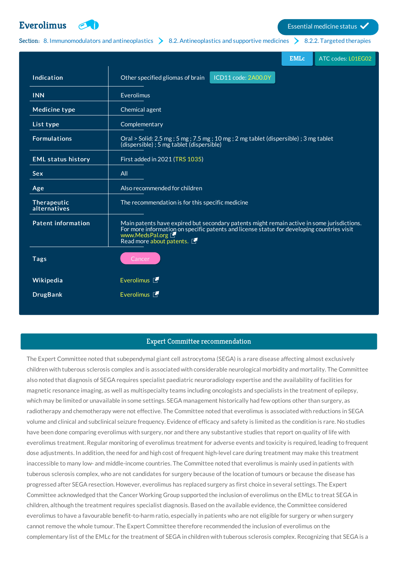

**[Everolimus](http://list.essentialmeds.org/medicines/615) Exercitive Service Status Exercise** Essential medicine status **V** 

Section: 8. [Immunomodulators](http://list.essentialmeds.org/?section=374) and antineoplastics  $\geq 8.2$ . [Antineoplastics](http://list.essentialmeds.org/?section=376) and supportive medicines  $\geq 8.2.2$ . Targeted [therapies](http://list.essentialmeds.org/?section=481)

|                             | <b>EMLc</b><br>ATC codes: L01EG02                                                                                                                                                                                                       |
|-----------------------------|-----------------------------------------------------------------------------------------------------------------------------------------------------------------------------------------------------------------------------------------|
| Indication                  | ICD11 code: 2A00.0Y<br>Other specified gliomas of brain                                                                                                                                                                                 |
| <b>INN</b>                  | Everolimus                                                                                                                                                                                                                              |
| <b>Medicine type</b>        | Chemical agent                                                                                                                                                                                                                          |
| List type                   | Complementary                                                                                                                                                                                                                           |
| <b>Formulations</b>         | Oral > Solid: 2.5 mg; 5 mg; 7.5 mg; 10 mg; 2 mg tablet (dispersible); 3 mg tablet<br>(dispersible); 5 mg tablet (dispersible)                                                                                                           |
| <b>EML status history</b>   | First added in 2021 (TRS 1035)                                                                                                                                                                                                          |
| <b>Sex</b>                  | All                                                                                                                                                                                                                                     |
| Age                         | Also recommended for children                                                                                                                                                                                                           |
| Therapeutic<br>alternatives | The recommendation is for this specific medicine                                                                                                                                                                                        |
| <b>Patent information</b>   | Main patents have expired but secondary patents might remain active in some jurisdictions.<br>For more information on specific patents and license status for developing countries visit<br>www.MedsPal.org<br>Read more about patents. |
| <b>Tags</b>                 | Cancer                                                                                                                                                                                                                                  |
| Wikipedia                   | Everolimus <sup>[1]</sup>                                                                                                                                                                                                               |
| <b>DrugBank</b>             | Everolimus <sup></sup>                                                                                                                                                                                                                  |

### Expert Committee recommendation

The Expert Committee noted that subependymal giant cell astrocytoma (SEGA) is a rare disease affecting almost exclusively children with tuberous sclerosis complex and is associated with considerable neurological morbidity and mortality. The Committee also noted that diagnosis of SEGA requires specialist paediatric neuroradiology expertise and the availability of facilities for magnetic resonance imaging, as well as multispecialty teams including oncologists and specialists in the treatment of epilepsy, which may be limited or unavailable in some settings. SEGA management historically had few options other than surgery, as radiotherapy and chemotherapy were not effective. The Committee noted that everolimus is associated with reductions in SEGA volume and clinical and subclinical seizure frequency. Evidence of efficacy and safety is limited as the condition is rare. No studies have been done comparing everolimus with surgery, nor and there any substantive studies that report on quality of life with everolimus treatment. Regular monitoring of everolimus treatment for adverse events and toxicity is required, leading to frequent dose adjustments. In addition, the need for and high cost of frequent high-level care during treatment may make this treatment inaccessible to many low- and middle-income countries. The Committee noted that everolimus is mainly used in patients with tuberous sclerosis complex, who are not candidates for surgery because of the location of tumours or because the disease has progressed after SEGA resection. However, everolimus has replaced surgery as first choice in several settings. The Expert Committee acknowledged that the Cancer Working Group supported the inclusion of everolimus on the EMLc to treat SEGA in children, although the treatment requires specialist diagnosis. Based on the available evidence, the Committee considered everolimus to have a favourable benefit-to-harm ratio, especially in patients who are not eligible for surgery or when surgery cannot remove the whole tumour. The Expert Committee therefore recommended the inclusion of everolimus on the complementary list of the EMLc for the treatment of SEGA in children with tuberous sclerosis complex. Recognizing that SEGA is a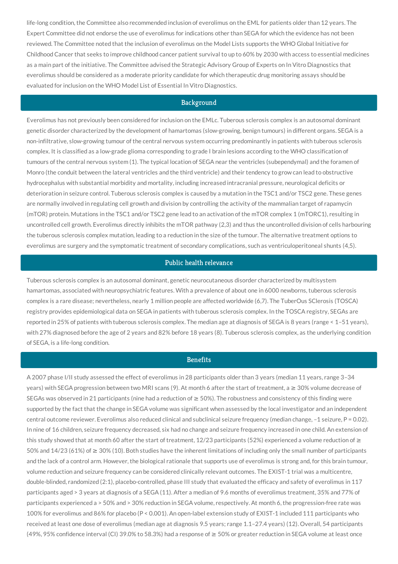life-long condition, the Committee also recommended inclusion of everolimus on the EML for patients older than 12 years. The Expert Committee did not endorse the use of everolimus for indications other than SEGA for which the evidence has not been reviewed. The Committee noted that the inclusion of everolimus on the Model Lists supports the WHO Global Initiative for Childhood Cancer that seeks to improve childhood cancer patient survival to up to 60% by 2030 with access to essential medicines as a main part of the initiative. The Committee advised the Strategic Advisory Group of Experts on In Vitro Diagnostics that everolimus should be considered as a moderate priority candidate for which therapeutic drug monitoring assays should be evaluated for inclusion on the WHO Model List of Essential In Vitro Diagnostics.

#### **Background**

Everolimus has not previously been considered for inclusion on the EMLc. Tuberous sclerosis complex is an autosomal dominant genetic disorder characterized by the development of hamartomas (slow-growing, benign tumours) in different organs. SEGA is a non-infiltrative, slow-growing tumour of the central nervous system occurring predominantly in patients with tuberous sclerosis complex. It is classified as a low-grade glioma corresponding to grade I brain lesions according to the WHO classification of tumours of the central nervous system (1). The typical location of SEGA near the ventricles (subependymal) and the foramen of Monro (the conduit between the lateral ventricles and the third ventricle) and their tendency to grow can lead to obstructive hydrocephalus with substantial morbidity and mortality, including increased intracranial pressure, neurological deficits or deterioration in seizure control. Tuberous sclerosis complex is caused by a mutation in the TSC1 and/or TSC2 gene. These genes are normally involved in regulating cell growth and division by controlling the activity of the mammalian target of rapamycin (mTOR) protein. Mutations in the TSC1 and/or TSC2 gene lead to an activation of the mTOR complex 1 (mTORC1), resulting in uncontrolled cell growth. Everolimus directly inhibits the mTOR pathway (2,3) and thus the uncontrolled division of cells harbouring the tuberous sclerosis complex mutation, leading to a reduction in the size of the tumour. The alternative treatment options to everolimus are surgery and the symptomatic treatment of secondary complications, such as ventriculoperitoneal shunts (4,5).

#### Public health relevance

Tuberous sclerosis complex is an autosomal dominant, genetic neurocutaneous disorder characterized by multisystem hamartomas, associated with neuropsychiatric features. With a prevalence of about one in 6000 newborns, tuberous sclerosis complex is a rare disease; nevertheless, nearly 1 million people are affected worldwide (6,7). The TuberOus SClerosis (TOSCA) registry provides epidemiological data on SEGA in patients with tuberous sclerosis complex. In the TOSCA registry, SEGAs are reported in 25% of patients with tuberous sclerosis complex. The median age at diagnosis of SEGA is 8 years (range < 1–51 years), with 27% diagnosed before the age of 2 years and 82% before 18 years (8). Tuberous sclerosis complex, as the underlying condition of SEGA, is a life-long condition.

# **Benefits**

A 2007 phase I/II study assessed the effect of everolimus in 28 participants older than 3 years (median 11 years, range 3–34 years) with SEGA progression between two MRI scans (9). At month 6 after the start of treatment, a  $\geq$  30% volume decrease of SEGAs was observed in 21 participants (nine had a reduction of  $\geq$  50%). The robustness and consistency of this finding were supported by the fact that the change in SEGA volume was significant when assessed by the local investigator and an independent central outcome reviewer. Everolimus also reduced clinical and subclinical seizure frequency (median change,  $-1$  seizure,  $P = 0.02$ ). In nine of 16 children, seizure frequency decreased, six had no change and seizure frequency increased in one child. An extension of this study showed that at month 60 after the start of treatment, 12/23 participants (52%) experienced a volume reduction of  $\geq$ 50% and 14/23 (61%) of ≥ 30% (10). Both studies have the inherent limitations of including only the small number of participants and the lack of a control arm. However, the biological rationale that supports use of everolimus is strong and, for this brain tumour, volume reduction and seizure frequency can be considered clinically relevant outcomes. The EXIST-1 trial was a multicentre, double-blinded, randomized (2:1), placebo-controlled, phase III study that evaluated the efficacy and safety of everolimus in 117 participants aged > 3 years at diagnosis of a SEGA (11). After a median of 9.6 months of everolimus treatment, 35% and 77% of participants experienced a > 50% and > 30% reduction in SEGA volume, respectively. At month 6, the progression-free rate was 100% for everolimus and 86% for placebo (P < 0.001). An open-label extension study of EXIST-1 included 111 participants who received at least one dose of everolimus (median age at diagnosis 9.5 years; range 1.1–27.4 years) (12). Overall, 54 participants (49%, 95% confidence interval (CI) 39.0% to 58.3%) had a response of ≥ 50% or greater reduction in SEGA volume at least once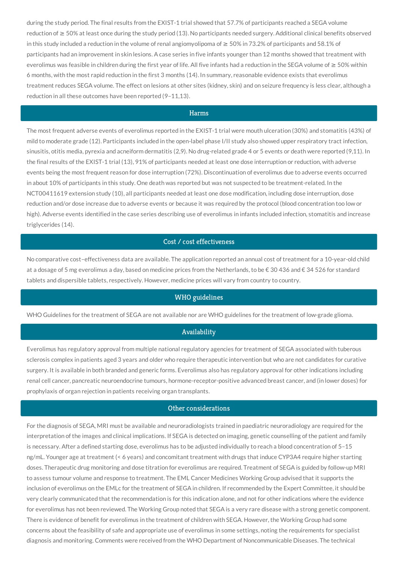during the study period. The final results from the EXIST-1 trial showed that 57.7% of participants reached a SEGA volume reduction of ≥ 50% at least once during the study period (13). No participants needed surgery. Additional clinical benefits observed in this study included a reduction in the volume of renal angiomyolipoma of ≥ 50% in 73.2% of participants and 58.1% of participants had an improvement in skin lesions. A case series in five infants younger than 12 months showed that treatment with everolimus was feasible in children during the first year of life. All five infants had a reduction in the SEGA volume of ≥ 50% within 6 months, with the most rapid reduction in the first 3 months (14). In summary, reasonable evidence exists that everolimus treatment reduces SEGA volume. The effect on lesions at other sites (kidney, skin) and on seizure frequency is less clear, although a reduction in all these outcomes have been reported (9–11,13).

# Harms

The most frequent adverse events of everolimus reported in the EXIST-1 trial were mouth ulceration (30%) and stomatitis (43%) of mild to moderate grade (12). Participants included in the open-label phase I/II study also showed upper respiratory tract infection, sinusitis, otitis media, pyrexia and acneiform dermatitis (2,9). No drug-related grade 4 or 5 events or death were reported (9,11). In the final results of the EXIST-1 trial (13), 91% of participants needed at least one dose interruption or reduction, with adverse events being the most frequent reason for dose interruption (72%). Discontinuation of everolimus due to adverse events occurred in about 10% of participants in this study. One death was reported but was not suspected to be treatment-related. In the NCT00411619 extension study (10), all participants needed at least one dose modification, including dose interruption, dose reduction and/or dose increase due to adverse events or because it was required by the protocol (blood concentration too low or high). Adverse events identified in the case series describing use of everolimus in infants included infection, stomatitis and increase triglycerides (14).

# Cost / cost effectiveness

No comparative cost–effectiveness data are available. The application reported an annual cost of treatment for a 10-year-old child at a dosage of 5 mg everolimus a day, based on medicine prices from the Netherlands, to be € 30 436 and € 34 526 for standard tablets and dispersible tablets, respectively. However, medicine prices will vary from country to country.

#### WHO guidelines

WHO Guidelines for the treatment of SEGA are not available nor are WHO guidelines for the treatment of low-grade glioma.

#### Availability

Everolimus has regulatory approval from multiple national regulatory agencies for treatment of SEGA associated with tuberous sclerosis complex in patients aged 3 years and older who require therapeutic intervention but who are not candidates for curative surgery. It is available in both branded and generic forms. Everolimus also has regulatory approval for other indications including renal cell cancer, pancreatic neuroendocrine tumours, hormone-receptor-positive advanced breast cancer, and (in lower doses) for prophylaxis of organ rejection in patients receiving organ transplants.

# Other considerations

For the diagnosis of SEGA, MRI must be available and neuroradiologists trained in paediatric neuroradiology are required for the interpretation of the images and clinical implications. If SEGA is detected on imaging, genetic counselling of the patient and family is necessary. After a defined starting dose, everolimus has to be adjusted individually to reach a blood concentration of 5–15 ng/mL. Younger age at treatment (< 6 years) and concomitant treatment with drugs that induce CYP3A4 require higher starting doses. Therapeutic drug monitoring and dose titration for everolimus are required. Treatment of SEGA is guided by follow-up MRI to assess tumour volume and response to treatment. The EML Cancer Medicines Working Group advised that it supports the inclusion of everolimus on the EMLc for the treatment of SEGA in children. If recommended by the Expert Committee, it should be very clearly communicated that the recommendation is for this indication alone, and not for other indications where the evidence for everolimus has not been reviewed. The Working Group noted that SEGA is a very rare disease with a strong genetic component. There is evidence of benefit for everolimus in the treatment of children with SEGA. However, the Working Group had some concerns about the feasibility of safe and appropriate use of everolimus in some settings, noting the requirements for specialist diagnosis and monitoring. Comments were received from the WHO Department of Noncommunicable Diseases. The technical